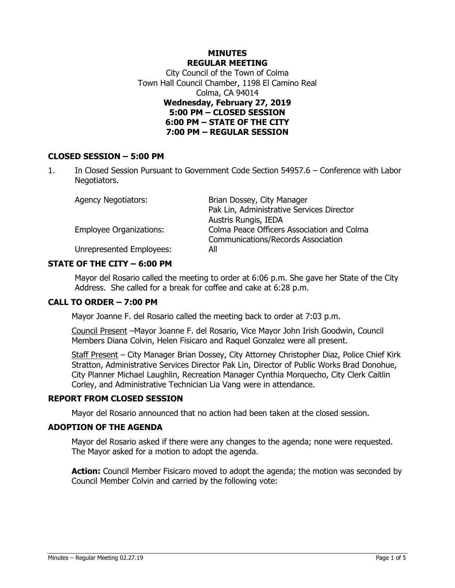# **MINUTES REGULAR MEETING** City Council of the Town of Colma Town Hall Council Chamber, 1198 El Camino Real Colma, CA 94014 **Wednesday, February 27, 2019 5:00 PM – CLOSED SESSION 6:00 PM – STATE OF THE CITY 7:00 PM – REGULAR SESSION**

# **CLOSED SESSION – 5:00 PM**

1. In Closed Session Pursuant to Government Code Section 54957.6 – Conference with Labor Negotiators.

| <b>Agency Negotiators:</b>     | Brian Dossey, City Manager                 |
|--------------------------------|--------------------------------------------|
|                                | Pak Lin, Administrative Services Director  |
|                                | Austris Rungis, IEDA                       |
| <b>Employee Organizations:</b> | Colma Peace Officers Association and Colma |
|                                | <b>Communications/Records Association</b>  |
| Unrepresented Employees:       | All                                        |

### **STATE OF THE CITY – 6:00 PM**

Mayor del Rosario called the meeting to order at 6:06 p.m. She gave her State of the City Address. She called for a break for coffee and cake at 6:28 p.m.

### **CALL TO ORDER – 7:00 PM**

Mayor Joanne F. del Rosario called the meeting back to order at 7:03 p.m.

Council Present –Mayor Joanne F. del Rosario, Vice Mayor John Irish Goodwin, Council Members Diana Colvin, Helen Fisicaro and Raquel Gonzalez were all present.

Staff Present - City Manager Brian Dossey, City Attorney Christopher Diaz, Police Chief Kirk Stratton, Administrative Services Director Pak Lin, Director of Public Works Brad Donohue, City Planner Michael Laughlin, Recreation Manager Cynthia Morquecho, City Clerk Caitlin Corley, and Administrative Technician Lia Vang were in attendance.

### **REPORT FROM CLOSED SESSION**

Mayor del Rosario announced that no action had been taken at the closed session.

#### **ADOPTION OF THE AGENDA**

Mayor del Rosario asked if there were any changes to the agenda; none were requested. The Mayor asked for a motion to adopt the agenda.

**Action:** Council Member Fisicaro moved to adopt the agenda; the motion was seconded by Council Member Colvin and carried by the following vote: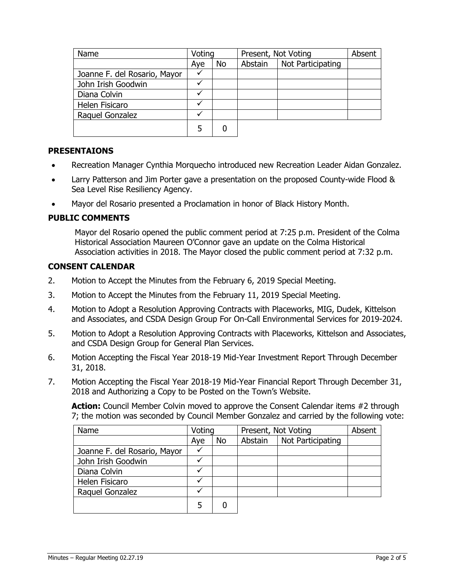| Name                         | Voting |           | Present, Not Voting |                   | Absent |
|------------------------------|--------|-----------|---------------------|-------------------|--------|
|                              | Aye    | <b>No</b> | Abstain             | Not Participating |        |
| Joanne F. del Rosario, Mayor |        |           |                     |                   |        |
| John Irish Goodwin           |        |           |                     |                   |        |
| Diana Colvin                 |        |           |                     |                   |        |
| Helen Fisicaro               |        |           |                     |                   |        |
| Raquel Gonzalez              |        |           |                     |                   |        |
|                              | 5      |           |                     |                   |        |

# **PRESENTAIONS**

- Recreation Manager Cynthia Morquecho introduced new Recreation Leader Aidan Gonzalez.
- Larry Patterson and Jim Porter gave a presentation on the proposed County-wide Flood & Sea Level Rise Resiliency Agency.
- Mayor del Rosario presented a Proclamation in honor of Black History Month.

#### **PUBLIC COMMENTS**

Mayor del Rosario opened the public comment period at 7:25 p.m. President of the Colma Historical Association Maureen O'Connor gave an update on the Colma Historical Association activities in 2018. The Mayor closed the public comment period at 7:32 p.m.

#### **CONSENT CALENDAR**

- 2. Motion to Accept the Minutes from the February 6, 2019 Special Meeting.
- 3. Motion to Accept the Minutes from the February 11, 2019 Special Meeting.
- 4. Motion to Adopt a Resolution Approving Contracts with Placeworks, MIG, Dudek, Kittelson and Associates, and CSDA Design Group For On-Call Environmental Services for 2019-2024.
- 5. Motion to Adopt a Resolution Approving Contracts with Placeworks, Kittelson and Associates, and CSDA Design Group for General Plan Services.
- 6. Motion Accepting the Fiscal Year 2018-19 Mid-Year Investment Report Through December 31, 2018.
- 7. Motion Accepting the Fiscal Year 2018-19 Mid-Year Financial Report Through December 31, 2018 and Authorizing a Copy to be Posted on the Town's Website.

**Action:** Council Member Colvin moved to approve the Consent Calendar items #2 through 7; the motion was seconded by Council Member Gonzalez and carried by the following vote:

| Name                         | Voting |           | Present, Not Voting |                   | Absent |
|------------------------------|--------|-----------|---------------------|-------------------|--------|
|                              | Aye    | <b>No</b> | Abstain             | Not Participating |        |
| Joanne F. del Rosario, Mayor |        |           |                     |                   |        |
| John Irish Goodwin           |        |           |                     |                   |        |
| Diana Colvin                 |        |           |                     |                   |        |
| Helen Fisicaro               |        |           |                     |                   |        |
| Raquel Gonzalez              |        |           |                     |                   |        |
|                              |        | 0         |                     |                   |        |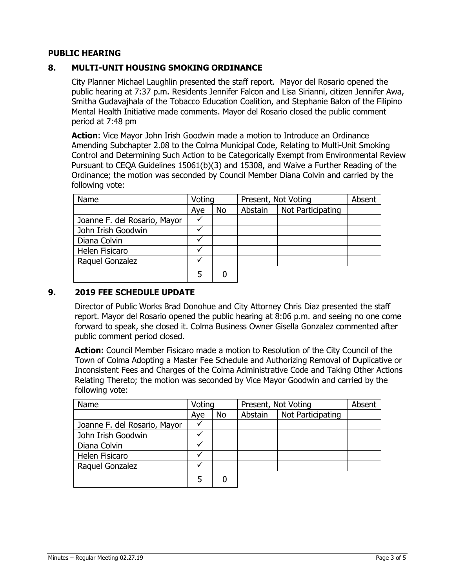# **PUBLIC HEARING**

# **8. MULTI-UNIT HOUSING SMOKING ORDINANCE**

City Planner Michael Laughlin presented the staff report. Mayor del Rosario opened the public hearing at 7:37 p.m. Residents Jennifer Falcon and Lisa Sirianni, citizen Jennifer Awa, Smitha Gudavajhala of the Tobacco Education Coalition, and Stephanie Balon of the Filipino Mental Health Initiative made comments. Mayor del Rosario closed the public comment period at 7:48 pm

**Action**: Vice Mayor John Irish Goodwin made a motion to Introduce an Ordinance Amending Subchapter 2.08 to the Colma Municipal Code, Relating to Multi-Unit Smoking Control and Determining Such Action to be Categorically Exempt from Environmental Review Pursuant to CEQA Guidelines 15061(b)(3) and 15308, and Waive a Further Reading of the Ordinance; the motion was seconded by Council Member Diana Colvin and carried by the following vote:

| Name                         | Voting |    | Present, Not Voting |                   | Absent |
|------------------------------|--------|----|---------------------|-------------------|--------|
|                              | Aye    | No | Abstain             | Not Participating |        |
| Joanne F. del Rosario, Mayor |        |    |                     |                   |        |
| John Irish Goodwin           |        |    |                     |                   |        |
| Diana Colvin                 |        |    |                     |                   |        |
| Helen Fisicaro               |        |    |                     |                   |        |
| Raquel Gonzalez              |        |    |                     |                   |        |
|                              |        |    |                     |                   |        |

### **9. 2019 FEE SCHEDULE UPDATE**

Director of Public Works Brad Donohue and City Attorney Chris Diaz presented the staff report. Mayor del Rosario opened the public hearing at 8:06 p.m. and seeing no one come forward to speak, she closed it. Colma Business Owner Gisella Gonzalez commented after public comment period closed.

**Action:** Council Member Fisicaro made a motion to Resolution of the City Council of the Town of Colma Adopting a Master Fee Schedule and Authorizing Removal of Duplicative or Inconsistent Fees and Charges of the Colma Administrative Code and Taking Other Actions Relating Thereto; the motion was seconded by Vice Mayor Goodwin and carried by the following vote:

| Name                         | Voting |    | Present, Not Voting |                   | Absent |
|------------------------------|--------|----|---------------------|-------------------|--------|
|                              | Aye    | No | Abstain             | Not Participating |        |
| Joanne F. del Rosario, Mayor |        |    |                     |                   |        |
| John Irish Goodwin           |        |    |                     |                   |        |
| Diana Colvin                 |        |    |                     |                   |        |
| Helen Fisicaro               |        |    |                     |                   |        |
| Raquel Gonzalez              |        |    |                     |                   |        |
|                              | 5      |    |                     |                   |        |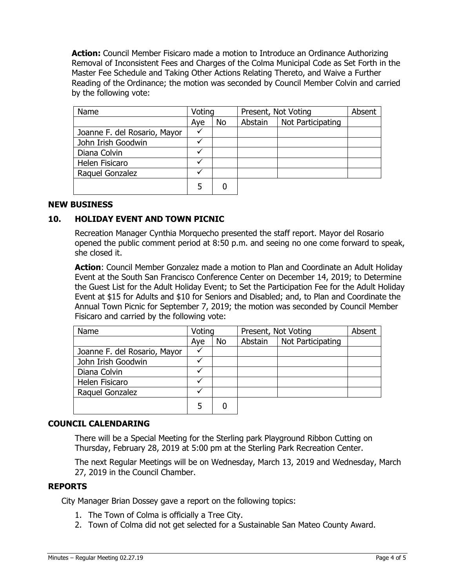**Action:** Council Member Fisicaro made a motion to Introduce an Ordinance Authorizing Removal of Inconsistent Fees and Charges of the Colma Municipal Code as Set Forth in the Master Fee Schedule and Taking Other Actions Relating Thereto, and Waive a Further Reading of the Ordinance; the motion was seconded by Council Member Colvin and carried by the following vote:

| Name                         | Voting       |    | Present, Not Voting |                   | Absent |
|------------------------------|--------------|----|---------------------|-------------------|--------|
|                              | Aye          | No | Abstain             | Not Participating |        |
| Joanne F. del Rosario, Mayor |              |    |                     |                   |        |
| John Irish Goodwin           |              |    |                     |                   |        |
| Diana Colvin                 | ✓            |    |                     |                   |        |
| Helen Fisicaro               | v            |    |                     |                   |        |
| Raquel Gonzalez              | $\checkmark$ |    |                     |                   |        |
|                              |              |    |                     |                   |        |

### **NEW BUSINESS**

### **10. HOLIDAY EVENT AND TOWN PICNIC**

Recreation Manager Cynthia Morquecho presented the staff report. Mayor del Rosario opened the public comment period at 8:50 p.m. and seeing no one come forward to speak, she closed it.

**Action**: Council Member Gonzalez made a motion to Plan and Coordinate an Adult Holiday Event at the South San Francisco Conference Center on December 14, 2019; to Determine the Guest List for the Adult Holiday Event; to Set the Participation Fee for the Adult Holiday Event at \$15 for Adults and \$10 for Seniors and Disabled; and, to Plan and Coordinate the Annual Town Picnic for September 7, 2019; the motion was seconded by Council Member Fisicaro and carried by the following vote:

| Name                         | Voting |    | Present, Not Voting |                   | Absent |
|------------------------------|--------|----|---------------------|-------------------|--------|
|                              | Aye    | No | Abstain             | Not Participating |        |
| Joanne F. del Rosario, Mayor |        |    |                     |                   |        |
| John Irish Goodwin           |        |    |                     |                   |        |
| Diana Colvin                 |        |    |                     |                   |        |
| Helen Fisicaro               |        |    |                     |                   |        |
| Raquel Gonzalez              |        |    |                     |                   |        |
|                              |        |    |                     |                   |        |

#### **COUNCIL CALENDARING**

There will be a Special Meeting for the Sterling park Playground Ribbon Cutting on Thursday, February 28, 2019 at 5:00 pm at the Sterling Park Recreation Center.

The next Regular Meetings will be on Wednesday, March 13, 2019 and Wednesday, March 27, 2019 in the Council Chamber.

### **REPORTS**

City Manager Brian Dossey gave a report on the following topics:

- 1. The Town of Colma is officially a Tree City.
- 2. Town of Colma did not get selected for a Sustainable San Mateo County Award.